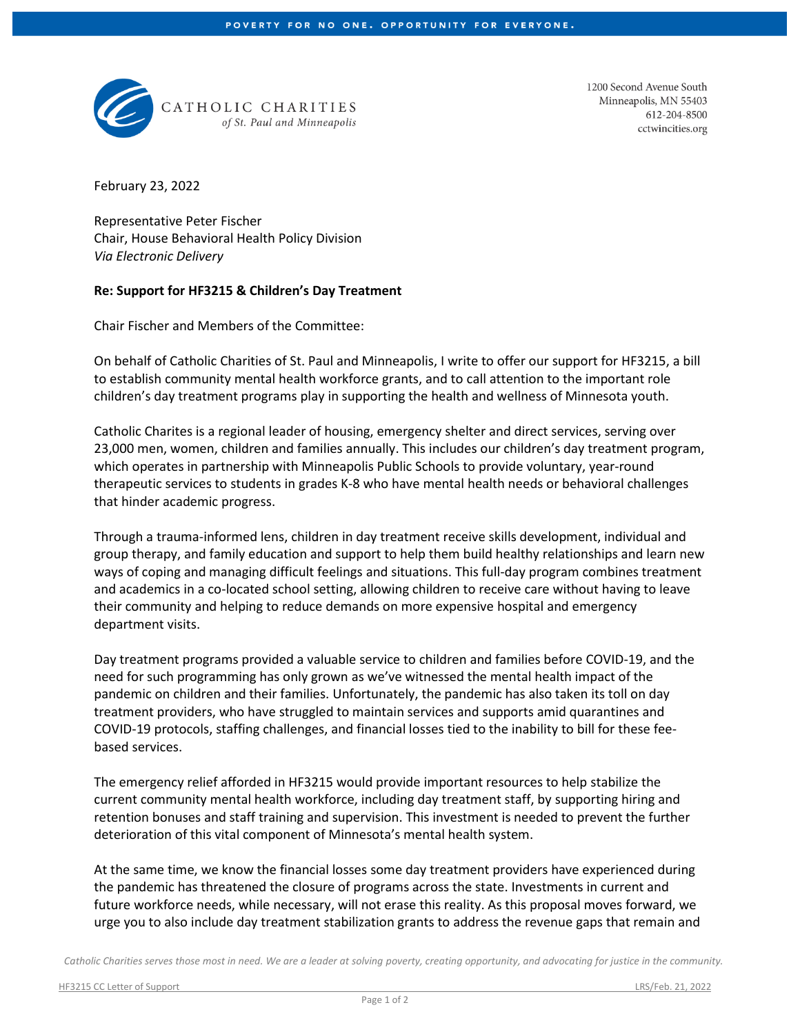

CATHOLIC CHARITIES of St. Paul and Minneapolis 1200 Second Avenue South Minneapolis, MN 55403 612-204-8500 cctwincities.org

February 23, 2022

Representative Peter Fischer Chair, House Behavioral Health Policy Division *Via Electronic Delivery*

## **Re: Support for HF3215 & Children's Day Treatment**

Chair Fischer and Members of the Committee:

On behalf of Catholic Charities of St. Paul and Minneapolis, I write to offer our support for HF3215, a bill to establish community mental health workforce grants, and to call attention to the important role children's day treatment programs play in supporting the health and wellness of Minnesota youth.

Catholic Charites is a regional leader of housing, emergency shelter and direct services, serving over 23,000 men, women, children and families annually. This includes our children's day treatment program, which operates in partnership with Minneapolis Public Schools to provide voluntary, year-round therapeutic services to students in grades K-8 who have mental health needs or behavioral challenges that hinder academic progress.

Through a trauma-informed lens, children in day treatment receive skills development, individual and group therapy, and family education and support to help them build healthy relationships and learn new ways of coping and managing difficult feelings and situations. This full-day program combines treatment and academics in a co-located school setting, allowing children to receive care without having to leave their community and helping to reduce demands on more expensive hospital and emergency department visits.

Day treatment programs provided a valuable service to children and families before COVID-19, and the need for such programming has only grown as we've witnessed the mental health impact of the pandemic on children and their families. Unfortunately, the pandemic has also taken its toll on day treatment providers, who have struggled to maintain services and supports amid quarantines and COVID-19 protocols, staffing challenges, and financial losses tied to the inability to bill for these feebased services.

The emergency relief afforded in HF3215 would provide important resources to help stabilize the current community mental health workforce, including day treatment staff, by supporting hiring and retention bonuses and staff training and supervision. This investment is needed to prevent the further deterioration of this vital component of Minnesota's mental health system.

At the same time, we know the financial losses some day treatment providers have experienced during the pandemic has threatened the closure of programs across the state. Investments in current and future workforce needs, while necessary, will not erase this reality. As this proposal moves forward, we urge you to also include day treatment stabilization grants to address the revenue gaps that remain and

*Catholic Charities serves those most in need. We are a leader at solving poverty, creating opportunity, and advocating for justice in the community.*